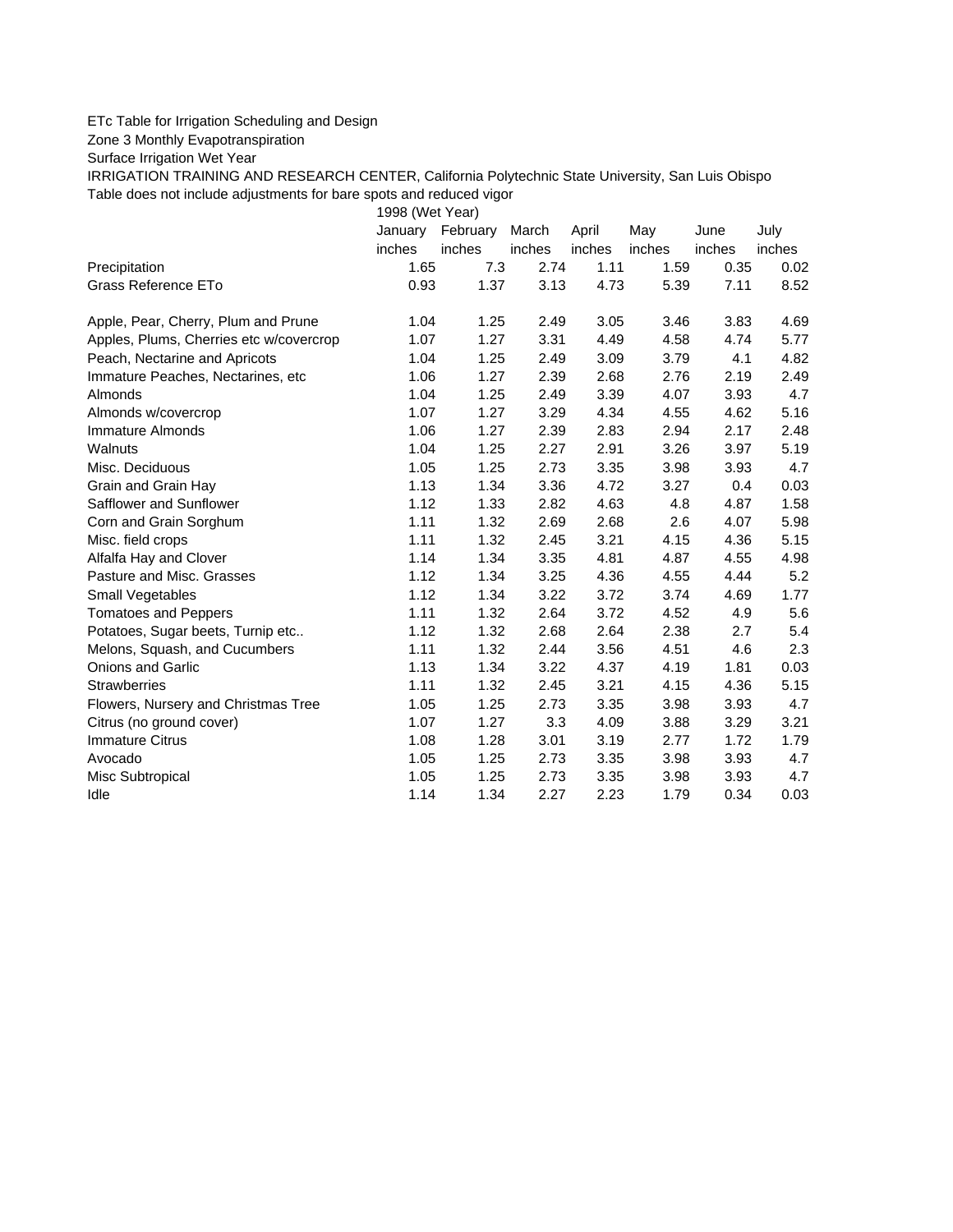## ETc Table for Irrigation Scheduling and Design

Zone 3 Monthly Evapotranspiration

Surface Irrigation Wet Year

IRRIGATION TRAINING AND RESEARCH CENTER, California Polytechnic State University, San Luis Obispo Table does not include adjustments for bare spots and reduced vigor

1998 (Wet Year)

|                                         | January | February | March  | April  | May    | June   | July   |
|-----------------------------------------|---------|----------|--------|--------|--------|--------|--------|
|                                         | inches  | inches   | inches | inches | inches | inches | inches |
| Precipitation                           | 1.65    | 7.3      | 2.74   | 1.11   | 1.59   | 0.35   | 0.02   |
| Grass Reference ETo                     | 0.93    | 1.37     | 3.13   | 4.73   | 5.39   | 7.11   | 8.52   |
| Apple, Pear, Cherry, Plum and Prune     | 1.04    | 1.25     | 2.49   | 3.05   | 3.46   | 3.83   | 4.69   |
| Apples, Plums, Cherries etc w/covercrop | 1.07    | 1.27     | 3.31   | 4.49   | 4.58   | 4.74   | 5.77   |
| Peach, Nectarine and Apricots           | 1.04    | 1.25     | 2.49   | 3.09   | 3.79   | 4.1    | 4.82   |
| Immature Peaches, Nectarines, etc.      | 1.06    | 1.27     | 2.39   | 2.68   | 2.76   | 2.19   | 2.49   |
| <b>Almonds</b>                          | 1.04    | 1.25     | 2.49   | 3.39   | 4.07   | 3.93   | 4.7    |
| Almonds w/covercrop                     | 1.07    | 1.27     | 3.29   | 4.34   | 4.55   | 4.62   | 5.16   |
| <b>Immature Almonds</b>                 | 1.06    | 1.27     | 2.39   | 2.83   | 2.94   | 2.17   | 2.48   |
| Walnuts                                 | 1.04    | 1.25     | 2.27   | 2.91   | 3.26   | 3.97   | 5.19   |
| Misc. Deciduous                         | 1.05    | 1.25     | 2.73   | 3.35   | 3.98   | 3.93   | 4.7    |
| Grain and Grain Hay                     | 1.13    | 1.34     | 3.36   | 4.72   | 3.27   | 0.4    | 0.03   |
| Safflower and Sunflower                 | 1.12    | 1.33     | 2.82   | 4.63   | 4.8    | 4.87   | 1.58   |
| Corn and Grain Sorghum                  | 1.11    | 1.32     | 2.69   | 2.68   | 2.6    | 4.07   | 5.98   |
| Misc. field crops                       | 1.11    | 1.32     | 2.45   | 3.21   | 4.15   | 4.36   | 5.15   |
| Alfalfa Hay and Clover                  | 1.14    | 1.34     | 3.35   | 4.81   | 4.87   | 4.55   | 4.98   |
| Pasture and Misc. Grasses               | 1.12    | 1.34     | 3.25   | 4.36   | 4.55   | 4.44   | 5.2    |
| Small Vegetables                        | 1.12    | 1.34     | 3.22   | 3.72   | 3.74   | 4.69   | 1.77   |
| <b>Tomatoes and Peppers</b>             | 1.11    | 1.32     | 2.64   | 3.72   | 4.52   | 4.9    | 5.6    |
| Potatoes, Sugar beets, Turnip etc       | 1.12    | 1.32     | 2.68   | 2.64   | 2.38   | 2.7    | 5.4    |
| Melons, Squash, and Cucumbers           | 1.11    | 1.32     | 2.44   | 3.56   | 4.51   | 4.6    | 2.3    |
| <b>Onions and Garlic</b>                | 1.13    | 1.34     | 3.22   | 4.37   | 4.19   | 1.81   | 0.03   |
| <b>Strawberries</b>                     | 1.11    | 1.32     | 2.45   | 3.21   | 4.15   | 4.36   | 5.15   |
| Flowers, Nursery and Christmas Tree     | 1.05    | 1.25     | 2.73   | 3.35   | 3.98   | 3.93   | 4.7    |
| Citrus (no ground cover)                | 1.07    | 1.27     | 3.3    | 4.09   | 3.88   | 3.29   | 3.21   |
| <b>Immature Citrus</b>                  | 1.08    | 1.28     | 3.01   | 3.19   | 2.77   | 1.72   | 1.79   |
| Avocado                                 | 1.05    | 1.25     | 2.73   | 3.35   | 3.98   | 3.93   | 4.7    |
| Misc Subtropical                        | 1.05    | 1.25     | 2.73   | 3.35   | 3.98   | 3.93   | 4.7    |
| Idle                                    | 1.14    | 1.34     | 2.27   | 2.23   | 1.79   | 0.34   | 0.03   |